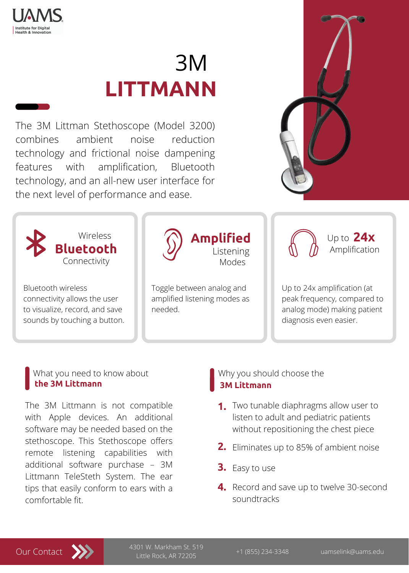

**Institute for Digital Health & Innovation** 

The 3M Littman Stethoscope (Model 3200) combines ambient noise reduction technology and frictional noise dampening features with amplification, Bluetooth technology, and an all-new user interface for



#### the next level of performance and ease.

# 3M **LITTMANN**



Bluetooth wireless connectivity allows the user to visualize, record, and save sounds by touching a button. Toggle between analog and amplified listening modes as needed.

Up to 24x amplification (at peak frequency, compared to analog mode) making patient diagnosis even easier.

Listening

**Amplified**

Modes

Up to **24x**

Amplification

#### What you need to know about **the 3M Littmann**

## Why you should choose the **3M Littmann**



+1 (855) 234-3348 uamselink@uams.edu 4301 W. Markham St. 519 Little Rock, AR 72205

- Two tunable diaphragms allow user to  **1.** listen to adult and pediatric patients without repositioning the chest piece
- **2.** Eliminates up to 85% of ambient noise

The 3M Littmann is not compatible with Apple devices. An additional software may be needed based on the stethoscope. This Stethoscope offers remote listening capabilities with additional software purchase – 3M Littmann TeleSteth System. The ear tips that easily conform to ears with a comfortable fit.

# **3.** Easy to use

**4.** Record and save up to twelve 30-second soundtracks